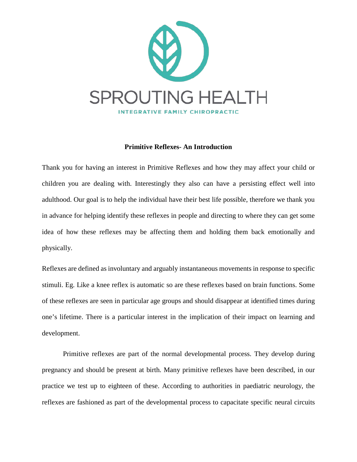

## **Primitive Reflexes- An Introduction**

Thank you for having an interest in Primitive Reflexes and how they may affect your child or children you are dealing with. Interestingly they also can have a persisting effect well into adulthood. Our goal is to help the individual have their best life possible, therefore we thank you in advance for helping identify these reflexes in people and directing to where they can get some idea of how these reflexes may be affecting them and holding them back emotionally and physically.

Reflexes are defined as involuntary and arguably instantaneous movements in response to specific stimuli. Eg. Like a knee reflex is automatic so are these reflexes based on brain functions. Some of these reflexes are seen in particular age groups and should disappear at identified times during one's lifetime. There is a particular interest in the implication of their impact on learning and development.

Primitive reflexes are part of the normal developmental process. They develop during pregnancy and should be present at birth. Many primitive reflexes have been described, in our practice we test up to eighteen of these. According to authorities in paediatric neurology, the reflexes are fashioned as part of the developmental process to capacitate specific neural circuits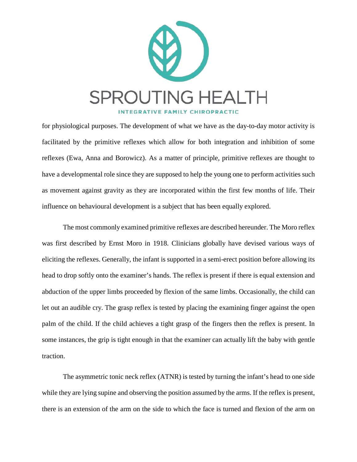

for physiological purposes. The development of what we have as the day-to-day motor activity is facilitated by the primitive reflexes which allow for both integration and inhibition of some reflexes (Ewa, Anna and Borowicz). As a matter of principle, primitive reflexes are thought to have a developmental role since they are supposed to help the young one to perform activities such as movement against gravity as they are incorporated within the first few months of life. Their influence on behavioural development is a subject that has been equally explored.

The most commonly examined primitive reflexes are described hereunder. The Moro reflex was first described by Ernst Moro in 1918. Clinicians globally have devised various ways of eliciting the reflexes. Generally, the infant is supported in a semi-erect position before allowing its head to drop softly onto the examiner's hands. The reflex is present if there is equal extension and abduction of the upper limbs proceeded by flexion of the same limbs. Occasionally, the child can let out an audible cry. The grasp reflex is tested by placing the examining finger against the open palm of the child. If the child achieves a tight grasp of the fingers then the reflex is present. In some instances, the grip is tight enough in that the examiner can actually lift the baby with gentle traction.

The asymmetric tonic neck reflex (ATNR) is tested by turning the infant's head to one side while they are lying supine and observing the position assumed by the arms. If the reflex is present, there is an extension of the arm on the side to which the face is turned and flexion of the arm on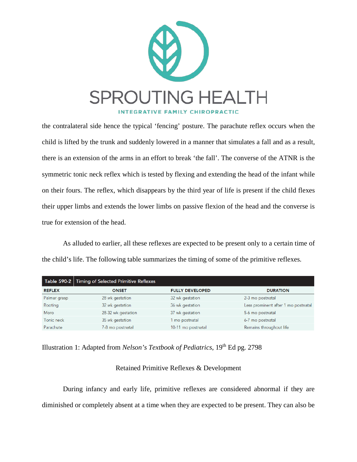

the contralateral side hence the typical 'fencing' posture. The parachute reflex occurs when the child is lifted by the trunk and suddenly lowered in a manner that simulates a fall and as a result, there is an extension of the arms in an effort to break 'the fall'. The converse of the ATNR is the symmetric tonic neck reflex which is tested by flexing and extending the head of the infant while on their fours. The reflex, which disappears by the third year of life is present if the child flexes their upper limbs and extends the lower limbs on passive flexion of the head and the converse is true for extension of the head.

As alluded to earlier, all these reflexes are expected to be present only to a certain time of the child's life. The following table summarizes the timing of some of the primitive reflexes.

|               | Table 590-2 Timing of Selected Primitive Reflexes |                        |                                     |
|---------------|---------------------------------------------------|------------------------|-------------------------------------|
| <b>REFLEX</b> | <b>ONSET</b>                                      | <b>FULLY DEVELOPED</b> | <b>DURATION</b>                     |
| Palmar grasp  | 28 wk gestation                                   | 32 wk gestation        | 2-3 mo postnatal                    |
| Rooting       | 32 wk gestation                                   | 36 wk gestation        | Less prominent after 1 mo postnatal |
| Moro          | 28-32 wk gestation                                | 37 wk gestation        | 5-6 mo postnatal                    |
| Tonic neck    | 35 wk gestation                                   | mo postnatal           | 6-7 mo postnatal                    |
| Parachute     | 7-8 mo postnatal                                  | 10-11 mo postnatal     | Remains throughout life             |

Illustration 1: Adapted from *Nelson's Textbook of Pediatrics*, 19<sup>th</sup> Ed pg. 2798

## Retained Primitive Reflexes & Development

During infancy and early life, primitive reflexes are considered abnormal if they are diminished or completely absent at a time when they are expected to be present. They can also be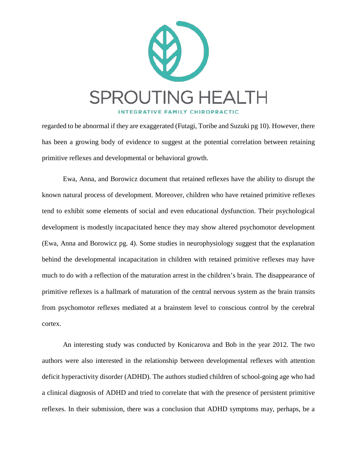

regarded to be abnormal if they are exaggerated (Futagi, Toribe and Suzuki pg 10). However, there has been a growing body of evidence to suggest at the potential correlation between retaining primitive reflexes and developmental or behavioral growth.

Ewa, Anna, and Borowicz document that retained reflexes have the ability to disrupt the known natural process of development. Moreover, children who have retained primitive reflexes tend to exhibit some elements of social and even educational dysfunction. Their psychological development is modestly incapacitated hence they may show altered psychomotor development (Ewa, Anna and Borowicz pg. 4). Some studies in neurophysiology suggest that the explanation behind the developmental incapacitation in children with retained primitive reflexes may have much to do with a reflection of the maturation arrest in the children's brain. The disappearance of primitive reflexes is a hallmark of maturation of the central nervous system as the brain transits from psychomotor reflexes mediated at a brainstem level to conscious control by the cerebral cortex.

An interesting study was conducted by Konicarova and Bob in the year 2012. The two authors were also interested in the relationship between developmental reflexes with attention deficit hyperactivity disorder (ADHD). The authors studied children of school-going age who had a clinical diagnosis of ADHD and tried to correlate that with the presence of persistent primitive reflexes. In their submission, there was a conclusion that ADHD symptoms may, perhaps, be a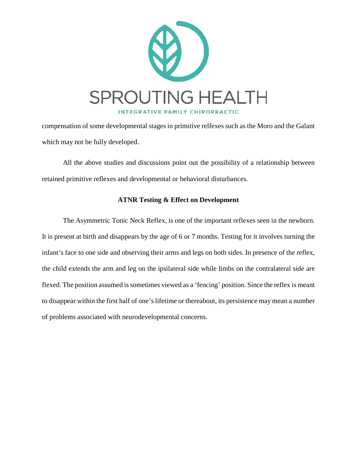

compensation of some developmental stages in primitive relfexes such as the Moro and the Galant which may not be fully developed.

All the above studies and discussions point out the possibility of a relationship between retained primitive reflexes and developmental or behavioral disturbances.

## **ATNR Testing & Effect on Development**

The Asymmetric Tonic Neck Reflex, is one of the important reflexes seen in the newborn. It is present at birth and disappears by the age of 6 or 7 months. Testing for it involves turning the infant's face to one side and observing their arms and legs on both sides. In presence of the reflex, the child extends the arm and leg on the ipsilateral side while limbs on the contralateral side are flexed. The position assumed is sometimes viewed as a 'fencing' position. Since the reflex is meant to disappear within the first half of one's lifetime or thereabout, its persistence may mean a number of problems associated with neurodevelopmental concerns.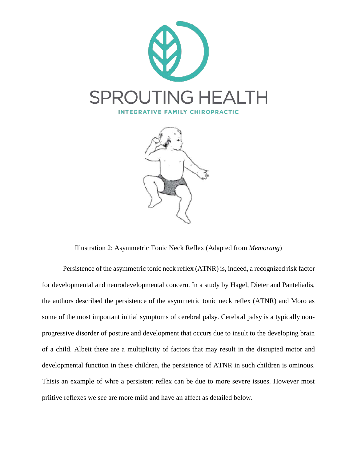



Illustration 2: Asymmetric Tonic Neck Reflex (Adapted from *Memorang*)

Persistence of the asymmetric tonic neck reflex (ATNR) is, indeed, a recognized risk factor for developmental and neurodevelopmental concern. In a study by Hagel, Dieter and Panteliadis, the authors described the persistence of the asymmetric tonic neck reflex (ATNR) and Moro as some of the most important initial symptoms of cerebral palsy. Cerebral palsy is a typically nonprogressive disorder of posture and development that occurs due to insult to the developing brain of a child. Albeit there are a multiplicity of factors that may result in the disrupted motor and developmental function in these children, the persistence of ATNR in such children is ominous. Thisis an example of whre a persistent reflex can be due to more severe issues. However most priitive reflexes we see are more mild and have an affect as detailed below.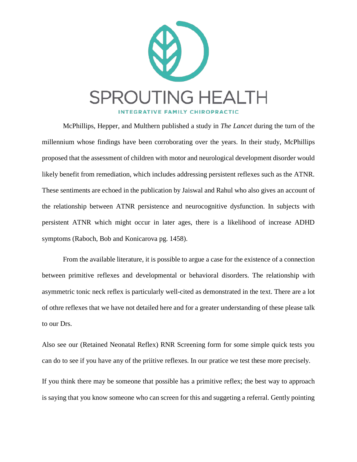

McPhillips, Hepper, and Multhern published a study in *The Lancet* during the turn of the millennium whose findings have been corroborating over the years. In their study, McPhillips proposed that the assessment of children with motor and neurological development disorder would likely benefit from remediation, which includes addressing persistent reflexes such as the ATNR. These sentiments are echoed in the publication by Jaiswal and Rahul who also gives an account of the relationship between ATNR persistence and neurocognitive dysfunction. In subjects with persistent ATNR which might occur in later ages, there is a likelihood of increase ADHD symptoms (Raboch, Bob and Konicarova pg. 1458).

From the available literature, it is possible to argue a case for the existence of a connection between primitive reflexes and developmental or behavioral disorders. The relationship with asymmetric tonic neck reflex is particularly well-cited as demonstrated in the text. There are a lot of othre reflexes that we have not detailed here and for a greater understanding of these please talk to our Drs.

Also see our (Retained Neonatal Reflex) RNR Screening form for some simple quick tests you can do to see if you have any of the priitive reflexes. In our pratice we test these more precisely.

If you think there may be someone that possible has a primitive reflex; the best way to approach is saying that you know someone who can screen for this and suggeting a referral. Gently pointing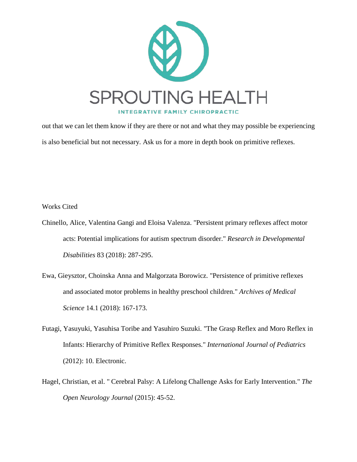

out that we can let them know if they are there or not and what they may possible be experiencing is also beneficial but not necessary. Ask us for a more in depth book on primitive reflexes.

Works Cited

- Chinello, Alice, Valentina Gangi and Eloisa Valenza. "Persistent primary reflexes affect motor acts: Potential implications for autism spectrum disorder." *Research in Developmental Disabilities* 83 (2018): 287-295.
- Ewa, Gieysztor, Choinska Anna and Malgorzata Borowicz. "Persistence of primitive reflexes and associated motor problems in healthy preschool children." *Archives of Medical Science* 14.1 (2018): 167-173.
- Futagi, Yasuyuki, Yasuhisa Toribe and Yasuhiro Suzuki. "The Grasp Reflex and Moro Reflex in Infants: Hierarchy of Primitive Reflex Responses." *International Journal of Pediatrics* (2012): 10. Electronic.
- Hagel, Christian, et al. " Cerebral Palsy: A Lifelong Challenge Asks for Early Intervention." *The Open Neurology Journal* (2015): 45-52.